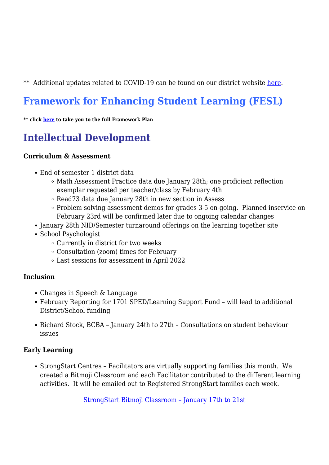\*\* Additional updates related to COVID-19 can be found on our district website [here.](https://www.prn.bc.ca/resources/covid-19/)

# **Framework for Enhancing Student Learning (FESL)**

**\*\* click [here](https://www.prn.bc.ca/wp-content/uploads/sites/2/2021/09/FESL-2021-2025-with-Masked-Data.pdf) to take you to the full Framework Plan**

# **Intellectual Development**

### **Curriculum & Assessment**

- End of semester 1 district data
	- Math Assessment Practice data due January 28th; one proficient reflection exemplar requested per teacher/class by February 4th
	- Read73 data due January 28th in new section in Assess
	- Problem solving assessment demos for grades 3-5 on-going. Planned inservice on February 23rd will be confirmed later due to ongoing calendar changes
- January 28th NID/Semester turnaround offerings on the learning together site
- School Psychologist
	- Currently in district for two weeks
	- Consultation (zoom) times for February
	- Last sessions for assessment in April 2022

# **Inclusion**

- Changes in Speech & Language
- February Reporting for 1701 SPED/Learning Support Fund will lead to additional District/School funding
- Richard Stock, BCBA January 24th to 27th Consultations on student behaviour issues

# **Early Learning**

StrongStart Centres – Facilitators are virtually supporting families this month. We created a Bitmoji Classroom and each Facilitator contributed to the different learning activities. It will be emailed out to Registered StrongStart families each week.

[StrongStart Bitmoji Classroom – January 17th to 21st](https://docs.google.com/presentation/d/e/2PACX-1vTpxVrmBVU5GmEmLp37LWKikItiCgI7v0pt8_qmVn5EhSocyr2Bqn3MeA-Yjy2QCaPkjmGpK10CeLvr/pub?start=true&loop=false&delayms=3000)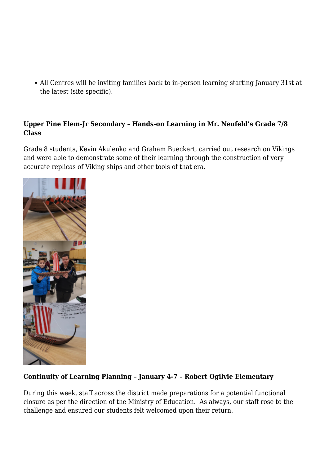All Centres will be inviting families back to in-person learning starting January 31st at the latest (site specific).

### **Upper Pine Elem-Jr Secondary – Hands-on Learning in Mr. Neufeld's Grade 7/8 Class**

Grade 8 students, Kevin Akulenko and Graham Bueckert, carried out research on Vikings and were able to demonstrate some of their learning through the construction of very accurate replicas of Viking ships and other tools of that era.



# **Continuity of Learning Planning – January 4-7 – Robert Ogilvie Elementary**

During this week, staff across the district made preparations for a potential functional closure as per the direction of the Ministry of Education. As always, our staff rose to the challenge and ensured our students felt welcomed upon their return.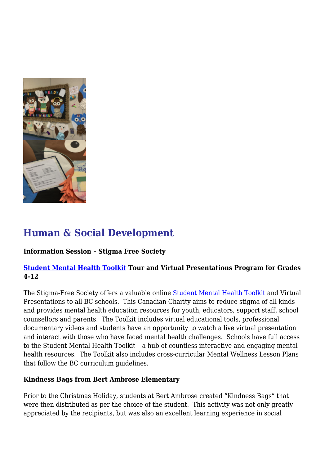

# **Human & Social Development**

# **Information Session – Stigma Free Society**

# **[Student Mental Health Toolkit](https://studentmentalhealthtoolkit.com/) Tour and Virtual Presentations Program for Grades 4-12**

The Stigma-Free Society offers a valuable online [Student Mental Health Toolkit](https://studentmentalhealthtoolkit.com/) and Virtual Presentations to all BC schools. This Canadian Charity aims to reduce stigma of all kinds and provides mental health education resources for youth, educators, support staff, school counsellors and parents. The Toolkit includes virtual educational tools, professional documentary videos and students have an opportunity to watch a live virtual presentation and interact with those who have faced mental health challenges. Schools have full access to the Student Mental Health Toolkit – a hub of countless interactive and engaging mental health resources. The Toolkit also includes cross-curricular Mental Wellness Lesson Plans that follow the BC curriculum guidelines.

# **Kindness Bags from Bert Ambrose Elementary**

Prior to the Christmas Holiday, students at Bert Ambrose created "Kindness Bags" that were then distributed as per the choice of the student. This activity was not only greatly appreciated by the recipients, but was also an excellent learning experience in social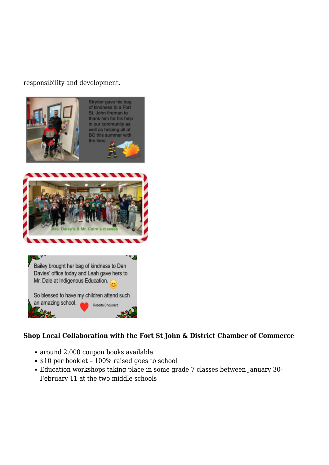### responsibility and development.



### **Shop Local Collaboration with the Fort St John & District Chamber of Commerce**

- around 2,000 coupon books available
- \$10 per booklet 100% raised goes to school
- Education workshops taking place in some grade 7 classes between January 30- February 11 at the two middle schools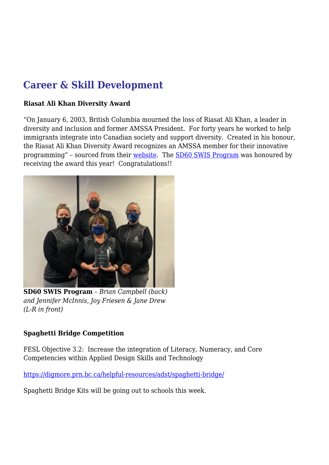# **Career & Skill Development**

### **Riasat Ali Khan Diversity Award**

"On January 6, 2003, British Columbia mourned the loss of Riasat Ali Khan, a leader in diversity and inclusion and former AMSSA President. For forty years he worked to help immigrants integrate into Canadian society and support diversity. Created in his honour, the Riasat Ali Khan Diversity Award recognizes an AMSSA member for their innovative programming" – sourced from their [website](https://www.amssa.org/membership/diversity-awards/riasat-ali-khan-award/). The [SD60 SWIS Program](https://www.prn.bc.ca/district/departments/settlement-workers-in-schools/) was honoured by receiving the award this year! Congratulations!!



**SD60 SWIS Program** – *Brian Campbell (back) and Jennifer McInnis, Joy Friesen & Jane Drew (L-R in front)*

### **Spaghetti Bridge Competition**

FESL Objective 3.2: Increase the integration of Literacy, Numeracy, and Core Competencies within Applied Design Skills and Technology

<https://digmore.prn.bc.ca/helpful-resources/adst/spaghetti-bridge/>

Spaghetti Bridge Kits will be going out to schools this week.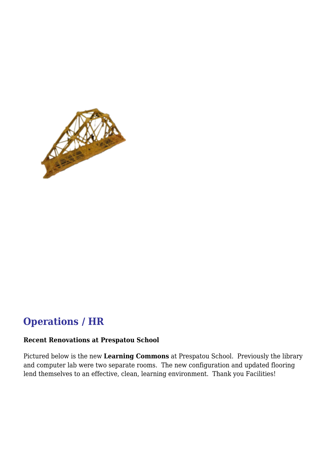

# **Operations / HR**

#### **Recent Renovations at Prespatou School**

Pictured below is the new **Learning Commons** at Prespatou School. Previously the library and computer lab were two separate rooms. The new configuration and updated flooring lend themselves to an effective, clean, learning environment. Thank you Facilities!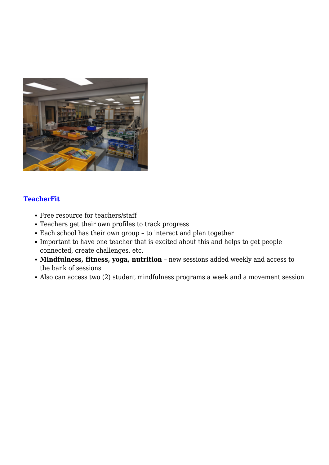

### **[TeacherFit](https://schools.teacherfit.com/)**

- Free resource for teachers/staff
- Teachers get their own profiles to track progress
- Each school has their own group to interact and plan together
- Important to have one teacher that is excited about this and helps to get people connected, create challenges, etc.
- **Mindfulness, fitness, yoga, nutrition** new sessions added weekly and access to the bank of sessions
- Also can access two (2) student mindfulness programs a week and a movement session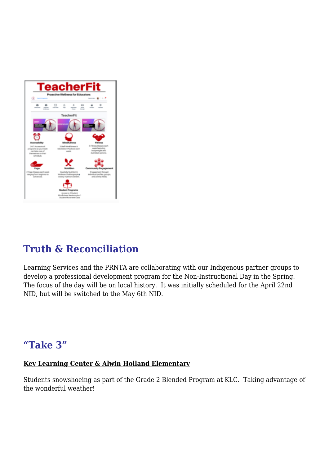

# **Truth & Reconciliation**

Learning Services and the PRNTA are collaborating with our Indigenous partner groups to develop a professional development program for the Non-Instructional Day in the Spring. The focus of the day will be on local history. It was initially scheduled for the April 22nd NID, but will be switched to the May 6th NID.

# **"Take 3"**

# **Key Learning Center & Alwin Holland Elementary**

Students snowshoeing as part of the Grade 2 Blended Program at KLC. Taking advantage of the wonderful weather!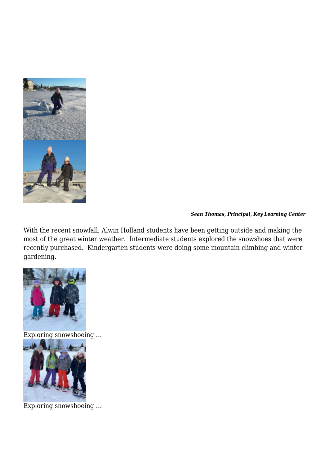

#### *Sean Thomas, Principal, Key Learning Center*

With the recent snowfall, Alwin Holland students have been getting outside and making the most of the great winter weather. Intermediate students explored the snowshoes that were recently purchased. Kindergarten students were doing some mountain climbing and winter gardening.



Exploring snowshoeing …



Exploring snowshoeing …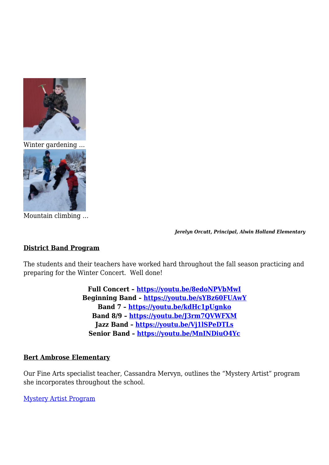

Winter gardening …



Mountain climbing …

*Jerelyn Orcutt, Principal, Alwin Holland Elementary*

### **District Band Program**

The students and their teachers have worked hard throughout the fall season practicing and preparing for the Winter Concert. Well done!

> **Full Concert –<https://youtu.be/8edoNPVbMwI> Beginning Band –<https://youtu.be/sYBz60FUAwY> Band 7 –<https://youtu.be/kdHc1pUgnko> Band 8/9 – <https://youtu.be/J3rm7QVWFXM> Jazz Band –<https://youtu.be/Vj1lSPeDTLs> Senior Band –<https://youtu.be/MnINDiuO4Yc>**

#### **Bert Ambrose Elementary**

Our Fine Arts specialist teacher, Cassandra Mervyn, outlines the "Mystery Artist" program she incorporates throughout the school.

[Mystery Artist Program](https://togetherwelearn.prn.bc.ca/wp-content/uploads/sites/51/2022/01/BA_Mystery-Artist.pdf)